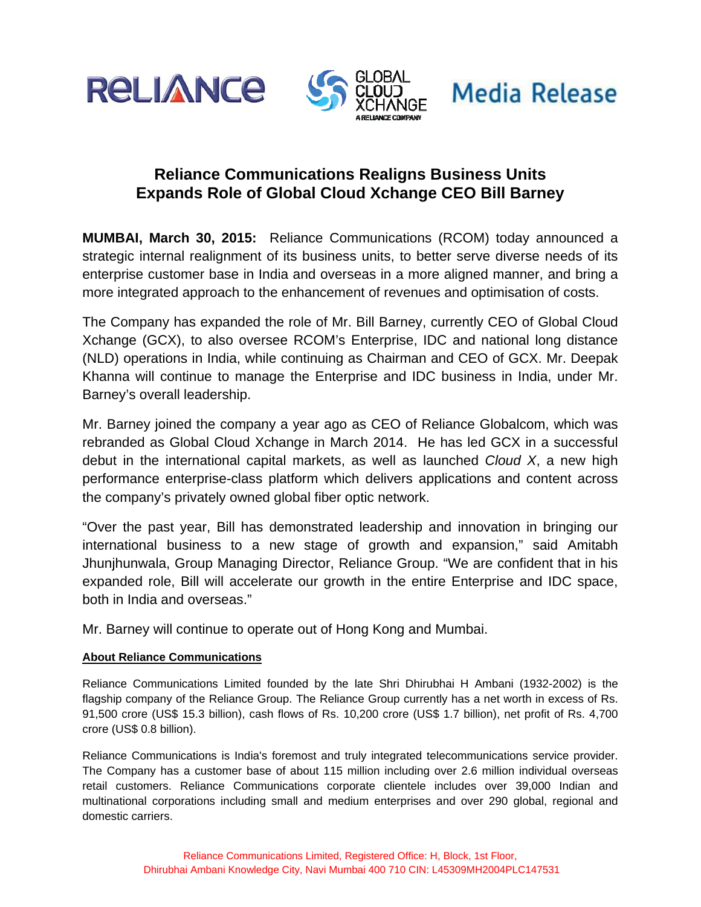





## **Reliance Communications Realigns Business Units Expands Role of Global Cloud Xchange CEO Bill Barney**

**MUMBAI, March 30, 2015:** Reliance Communications (RCOM) today announced a strategic internal realignment of its business units, to better serve diverse needs of its enterprise customer base in India and overseas in a more aligned manner, and bring a more integrated approach to the enhancement of revenues and optimisation of costs.

The Company has expanded the role of Mr. Bill Barney, currently CEO of Global Cloud Xchange (GCX), to also oversee RCOM's Enterprise, IDC and national long distance (NLD) operations in India, while continuing as Chairman and CEO of GCX. Mr. Deepak Khanna will continue to manage the Enterprise and IDC business in India, under Mr. Barney's overall leadership.

Mr. Barney joined the company a year ago as CEO of Reliance Globalcom, which was rebranded as Global Cloud Xchange in March 2014. He has led GCX in a successful debut in the international capital markets, as well as launched *Cloud X*, a new high performance enterprise-class platform which delivers applications and content across the company's privately owned global fiber optic network.

"Over the past year, Bill has demonstrated leadership and innovation in bringing our international business to a new stage of growth and expansion," said Amitabh Jhunjhunwala, Group Managing Director, Reliance Group. "We are confident that in his expanded role, Bill will accelerate our growth in the entire Enterprise and IDC space, both in India and overseas."

Mr. Barney will continue to operate out of Hong Kong and Mumbai.

## **About Reliance Communications**

Reliance Communications Limited founded by the late Shri Dhirubhai H Ambani (1932-2002) is the flagship company of the Reliance Group. The Reliance Group currently has a net worth in excess of Rs. 91,500 crore (US\$ 15.3 billion), cash flows of Rs. 10,200 crore (US\$ 1.7 billion), net profit of Rs. 4,700 crore (US\$ 0.8 billion).

Reliance Communications is India's foremost and truly integrated telecommunications service provider. The Company has a customer base of about 115 million including over 2.6 million individual overseas retail customers. Reliance Communications corporate clientele includes over 39,000 Indian and multinational corporations including small and medium enterprises and over 290 global, regional and domestic carriers.